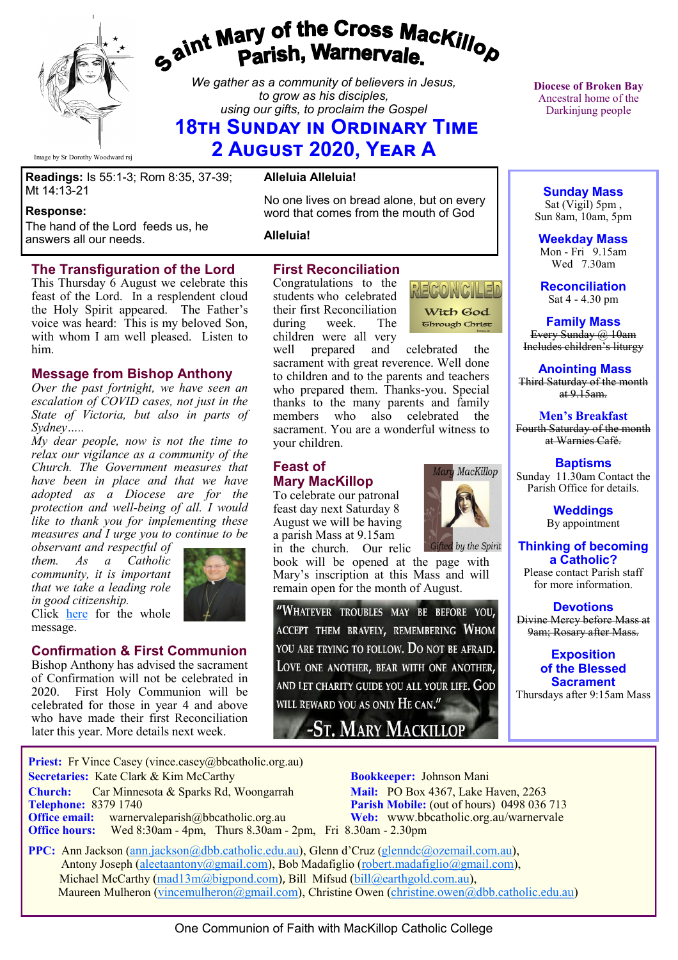

# gaint Mary of the Cross Mackillop<br>Parish, Warnervale.

*We gather as a community of believers in Jesus, to grow as his disciples, using our gifts, to proclaim the Gospel*

# **18th Sunday in Ordinary Time 2 August 2020, Year A**

Image by Sr Dorothy Woodward rsj

**Readings:** Is 55:1-3; Rom 8:35, 37-39; Mt 14:13-21

#### **Response:**

The hand of the Lord feeds us, he answers all our needs.

#### **The Transfiguration of the Lord**

This Thursday 6 August we celebrate this feast of the Lord. In a resplendent cloud the Holy Spirit appeared. The Father's voice was heard: This is my beloved Son, with whom I am well pleased. Listen to him.

#### **Message from Bishop Anthony**

*Over the past fortnight, we have seen an escalation of COVID cases, not just in the State of Victoria, but also in parts of Sydney…..*

*My dear people, now is not the time to relax our vigilance as a community of the Church. The Government measures that have been in place and that we have adopted as a Diocese are for the protection and well-being of all. I would like to thank you for implementing these measures and I urge you to continue to be* 

*observant and respectful of them. As a Catholic community, it is important that we take a leading role in good citizenship.* 



Click [here](https://bbcatholic.us8.list-manage.com/track/click?u=466af249e088db70ab864d088&id=c156ee0287&e=082a8c9b01) for the whole message.

## **Confirmation & First Communion**

Bishop Anthony has advised the sacrament of Confirmation will not be celebrated in 2020. First Holy Communion will be celebrated for those in year 4 and above who have made their first Reconciliation later this year. More details next week.

#### **Alleluia Alleluia!**

No one lives on bread alone, but on every word that comes from the mouth of God

**Alleluia!**

## **First Reconciliation**

Congratulations to the students who celebrated their first Reconciliation during week. The children were all very



well prepared and celebrated the sacrament with great reverence. Well done to children and to the parents and teachers who prepared them. Thanks-you. Special thanks to the many parents and family members who also celebrated the sacrament. You are a wonderful witness to your children.

## **Feast of Mary MacKillop**

To celebrate our patronal feast day next Saturday 8 August we will be having a parish Mass at 9.15am

Gifted by the Spirit in the church. Our relic book will be opened at the page with Mary's inscription at this Mass and will remain open for the month of August.

"WHATEVER TROUBLES MAY BE BEFORE YOU, ACCEPT THEM BRAVELY, REMEMBERING WHOM YOU ARE TRYING TO FOLLOW. DO NOT BE AFRAID. LOVE ONE ANOTHER, BEAR WITH ONE ANOTHER, and let charity guide you all your life. God will reward you as only  $\rm{He}$  can."

-ST. MARY MACKILLOP



**Mary MacKillop** 

**Diocese of Broken Bay**  Ancestral home of the Darkinjung people

**Sunday Mass** Sat (Vigil) 5pm , Sun 8am, 10am, 5pm

**Weekday Mass** Mon - Fri 9.15am Wed 7.30am

**Reconciliation** Sat 4 - 4.30 pm

**Family Mass**  Every Sunday @ 10am Includes children's liturgy

**Anointing Mass** Third Saturday of the month  $at 9.15am.$ 

**Men's Breakfast** Fourth Saturday of the month at Warnies Café.

**Baptisms** Sunday 11.30am Contact the Parish Office for details.

> **Weddings**  By appointment

**Thinking of becoming a Catholic?** Please contact Parish staff for more information.

**Devotions** Divine Mercy before Mass at 9am; Rosary after Mass.

> **Exposition of the Blessed Sacrament**

Thursdays after 9:15am Mass

**Priest:** Fr Vince Casey (vince.casey@bbcatholic.org.au)  **Secretaries:** Kate Clark & Kim McCarthy **Bookkeeper:** Johnson Mani **Church:** Car Minnesota & Sparks Rd, Woongarrah **Mail:** PO Box 4367, Lake Haven, 2263<br> **Telephone:** 8379 1740 **Parish Mobile:** (out of hours) 0498 036

**Office email:** warnervaleparish@bbcatholic.org.au **Web:** [www.bbcatholic.org.au/warnervale](https://www.bbcatholic.org.au/warnervale) **Office hours:** Wed 8:30am - 4pm, Thurs 8.30am - 2pm, Fri 8.30am - 2.30pm

**Parish Mobile:** (out of hours) 0498 036 713

 **PPC:** Ann Jackson ([ann.jackson@dbb.catholic.edu.au\),](mailto:ann.jackson@dbb.catholic.edu.au) Glenn d'Cruz ([glenndc@ozemail.com.au\)](mailto:glenndc@ozemail.com.au), Antony Joseph ([aleetaantony@gmail.com\),](mailto:aleetaantony@gmail.com) Bob Madafiglio [\(robert.madafiglio@gmail.com\),](mailto:robert.madafiglio@gmail.com) Michael McCarthy ([mad13m@bigpond.com\)](mailto:mad13m@bigpond.com), Bill Mifsud ([bill@earthgold.com.au\),](mailto:bill@earthgold.com.au) Maureen Mulheron ([vincemulheron@gmail.com\)](mailto:vincemulheron@gmail.com), Christine Owen (christine.owen[@dbb.catholic.edu.au\)](mailto:ann.jackson@dbb.catholic.edu.au)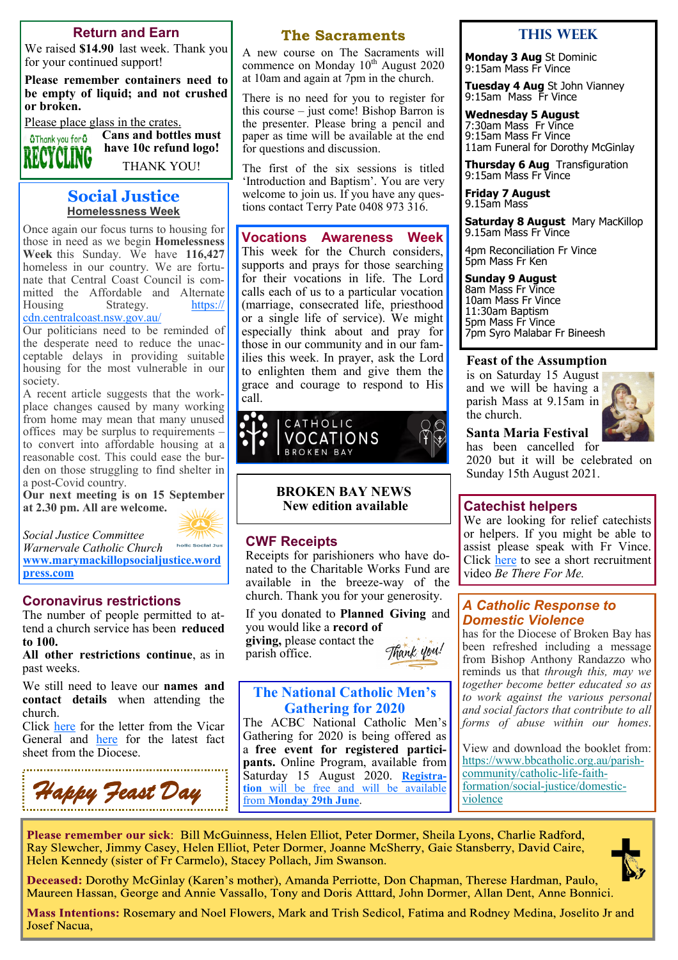#### **Return and Earn**

We raised **\$14.90** last week. Thank you for your continued support!

**Please remember containers need to be empty of liquid; and not crushed or broken.** 

Please place glass in the crates. **Cans and bottles must** 

**O**Thank you for 0

THANK YOU!

**have 10c refund logo!**

#### **Social Justice Homelessness Week**

Once again our focus turns to housing for those in need as we begin **Homelessness Week** this Sunday. We have **116,427**  homeless in our country. We are fortunate that Central Coast Council is committed the Affordable and Alternate Housing Strategy. [https://](https://cdn.centralcoast.nsw.gov.au/) [cdn.centralcoast.nsw.gov.au/](https://cdn.centralcoast.nsw.gov.au/)

Our politicians need to be reminded of the desperate need to reduce the unacceptable delays in providing suitable housing for the most vulnerable in our society.

A recent article suggests that the workplace changes caused by many working from home may mean that many unused offices may be surplus to requirements – to convert into affordable housing at a reasonable cost. This could ease the burden on those struggling to find shelter in a post-Covid country.

**Our next meeting is on 15 September at 2.30 pm. All are welcome.**



*Warnervale Catholic Church* **[www.marymackillopsocialjustice.word](http://www.marymackillopsocialjustice.wordpress.com) [press.com](http://www.marymackillopsocialjustice.wordpress.com)**

#### **Coronavirus restrictions**

*Social Justice Committee* 

The number of people permitted to attend a church service has been **reduced to 100.**

**All other restrictions continue**, as in past weeks.

We still need to leave our **names and contact details** when attending the church.

Click [here](https://bbcatholic.us8.list-manage.com/track/click?u=466af249e088db70ab864d088&id=d83b7dab6b&e=082a8c9b01) for the letter from the Vicar General and [here](https://bbcatholic.us8.list-manage.com/track/click?u=466af249e088db70ab864d088&id=27ad78a1d8&e=082a8c9b01) for the latest fact sheet from the Diocese.



#### **The Sacraments**

A new course on The Sacraments will commence on Monday 10<sup>th</sup> August 2020 at 10am and again at 7pm in the church.

There is no need for you to register for this course – just come! Bishop Barron is the presenter. Please bring a pencil and paper as time will be available at the end for questions and discussion.

The first of the six sessions is titled 'Introduction and Baptism'. You are very welcome to join us. If you have any questions contact Terry Pate 0408 973 316.

**Vocations Awareness Week**  This week for the Church considers, supports and prays for those searching for their vocations in life. The Lord calls each of us to a particular vocation (marriage, consecrated life, priesthood or a single life of service). We might especially think about and pray for those in our community and in our families this week. In prayer, ask the Lord to enlighten them and give them the grace and courage to respond to His call.



**BROKEN BAY NEWS New edition available**

#### **CWF Receipts**

Receipts for parishioners who have donated to the Charitable Works Fund are available in the breeze-way of the church. Thank you for your generosity.

If you donated to **Planned Giving** and you would like a **record of giving,** please contact the

parish office.



## **The National Catholic Men's Gathering for 2020**

The ACBC National Catholic Men's Gathering for 2020 is being offered as a **free event for registered participants.** Online Program, available from Saturday 15 August 2020. **[Registra](https://agora.catholic.org.au/l/576423/2020-06-22/mq26g)[tion](https://agora.catholic.org.au/l/576423/2020-06-22/mq26g)** [will be free and will be available](https://agora.catholic.org.au/l/576423/2020-06-22/mq26g)  from **[Monday 29th June](https://agora.catholic.org.au/l/576423/2020-06-22/mq26g)**.

#### **This week**

**Monday 3 Aug** St Dominic 9:15am Mass Fr Vince

**Tuesday 4 Aug** St John Vianney 9:15am Mass Fr Vince

**Wednesday 5 August** 7:30am Mass Fr Vince 9:15am Mass Fr Vince 11am Funeral for Dorothy McGinlay

**Thursday 6 Aug** Transfiguration 9:15am Mass Fr Vince

**Friday 7 August** 9.15am Mass

**Saturday 8 August** Mary MacKillop 9.15am Mass Fr Vince

4pm Reconciliation Fr Vince 5pm Mass Fr Ken

#### **Sunday 9 August**

8am Mass Fr Vince 10am Mass Fr Vince 11:30am Baptism 5pm Mass Fr Vince 7pm Syro Malabar Fr Bineesh

#### **Feast of the Assumption**

is on Saturday 15 August and we will be having a parish Mass at 9.15am in the church.



#### **Santa Maria Festival**

has been cancelled for 2020 but it will be celebrated on Sunday 15th August 2021.

#### **Catechist helpers**

We are looking for relief catechists or helpers. If you might be able to assist please speak with Fr Vince. Click [here](https://bbcatholic.us8.list-manage.com/track/click?u=466af249e088db70ab864d088&id=276763f349&e=082a8c9b01) to see a short recruitment video *Be There For Me.*

#### *A Catholic Response to Domestic Violence*

has for the Diocese of Broken Bay has been refreshed including a message from Bishop Anthony Randazzo who reminds us that *through this, may we together become better educated so as to work against the various personal and social factors that contribute to all forms of abuse within our homes*.

View and download the booklet from: [https://www.bbcatholic.org.au/parish](https://bbcatholic.us8.list-manage.com/track/click?u=466af249e088db70ab864d088&id=60031d5109&e=082a8c9b01)[community/catholic](https://bbcatholic.us8.list-manage.com/track/click?u=466af249e088db70ab864d088&id=60031d5109&e=082a8c9b01)-life-faith[formation/social](https://bbcatholic.us8.list-manage.com/track/click?u=466af249e088db70ab864d088&id=60031d5109&e=082a8c9b01)-justice/domestic[violence](https://bbcatholic.us8.list-manage.com/track/click?u=466af249e088db70ab864d088&id=60031d5109&e=082a8c9b01)

Please remember our sick: Bill McGuinness, Helen Elliot, Peter Dormer, Sheila Lyons, Charlie Radford, Ray Slewcher, Jimmy Casey, Helen Elliot, Peter Dormer, Joanne McSherry, Gaie Stansberry, David Caire, Helen Kennedy (sister of Fr Carmelo), Stacey Pollach, Jim Swanson.

Deceased: Dorothy McGinlay (Karen's mother), Amanda Perriotte, Don Chapman, Therese Hardman, Paulo, Maureen Hassan, George and Annie Vassallo, Tony and Doris Atttard, John Dormer, Allan Dent, Anne Bonnici.

Mass Intentions: Rosemary and Noel Flowers, Mark and Trish Sedicol, Fatima and Rodney Medina, Joselito Jr and **Josef Nacua,**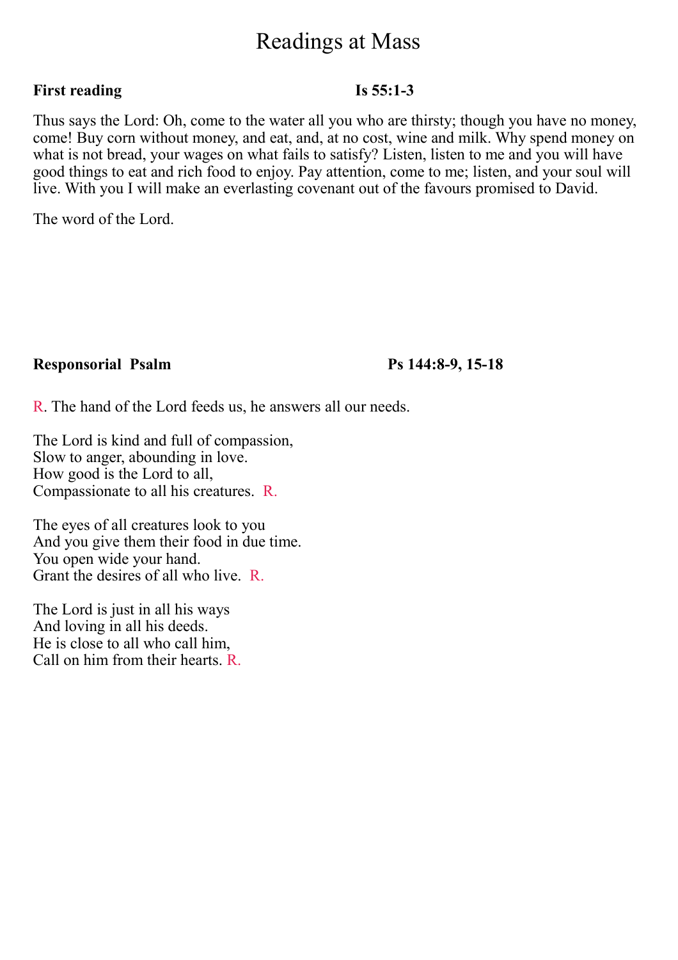# Readings at Mass

# **First reading Is 55:1-3**

Thus says the Lord: Oh, come to the water all you who are thirsty; though you have no money, come! Buy corn without money, and eat, and, at no cost, wine and milk. Why spend money on what is not bread, your wages on what fails to satisfy? Listen, listen to me and you will have good things to eat and rich food to enjoy. Pay attention, come to me; listen, and your soul will live. With you I will make an everlasting covenant out of the favours promised to David.

The word of the Lord.

# **Responsorial Psalm Ps 144:8-9, 15-18**

R. The hand of the Lord feeds us, he answers all our needs.

The Lord is kind and full of compassion, Slow to anger, abounding in love. How good is the Lord to all, Compassionate to all his creatures. R.

The eyes of all creatures look to you And you give them their food in due time. You open wide your hand. Grant the desires of all who live. R.

The Lord is just in all his ways And loving in all his deeds. He is close to all who call him, Call on him from their hearts. R.